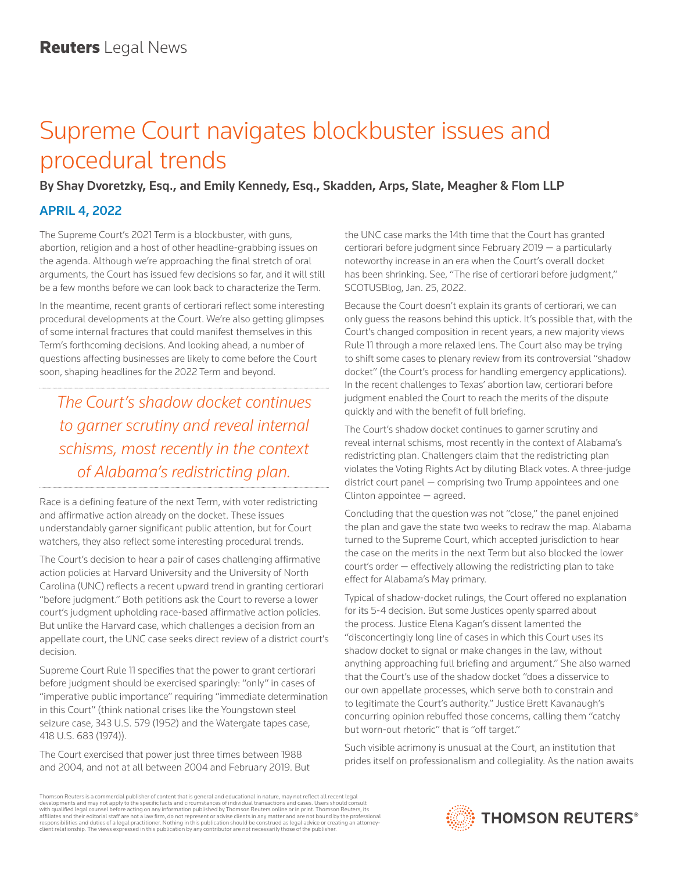## Supreme Court navigates blockbuster issues and procedural trends

By Shay Dvoretzky, Esq., and Emily Kennedy, Esq., Skadden, Arps, Slate, Meagher & Flom LLP

## APRIL 4, 2022

The Supreme Court's 2021 Term is a blockbuster, with guns, abortion, religion and a host of other headline-grabbing issues on the agenda. Although we're approaching the final stretch of oral arguments, the Court has issued few decisions so far, and it will still be a few months before we can look back to characterize the Term.

In the meantime, recent grants of certiorari reflect some interesting procedural developments at the Court. We're also getting glimpses of some internal fractures that could manifest themselves in this Term's forthcoming decisions. And looking ahead, a number of questions affecting businesses are likely to come before the Court soon, shaping headlines for the 2022 Term and beyond.

*The Court's shadow docket continues to garner scrutiny and reveal internal schisms, most recently in the context of Alabama's redistricting plan.*

Race is a defining feature of the next Term, with voter redistricting and affirmative action already on the docket. These issues understandably garner significant public attention, but for Court watchers, they also reflect some interesting procedural trends.

The Court's decision to hear a pair of cases challenging affirmative action policies at Harvard University and the University of North Carolina (UNC) reflects a recent upward trend in granting certiorari "before judgment." Both petitions ask the Court to reverse a lower court's judgment upholding race-based affirmative action policies. But unlike the Harvard case, which challenges a decision from an appellate court, the UNC case seeks direct review of a district court's decision.

Supreme Court Rule 11 specifies that the power to grant certiorari before judgment should be exercised sparingly: "only" in cases of "imperative public importance" requiring "immediate determination in this Court" (think national crises like the Youngstown steel seizure case, 343 U.S. 579 (1952) and the Watergate tapes case, 418 U.S. 683 (1974)).

The Court exercised that power just three times between 1988 and 2004, and not at all between 2004 and February 2019. But the UNC case marks the 14th time that the Court has granted certiorari before judgment since February 2019 — a particularly noteworthy increase in an era when the Court's overall docket has been shrinking. See, "The rise of certiorari before judgment," SCOTUSBlog, Jan. 25, 2022.

Because the Court doesn't explain its grants of certiorari, we can only guess the reasons behind this uptick. It's possible that, with the Court's changed composition in recent years, a new majority views Rule 11 through a more relaxed lens. The Court also may be trying to shift some cases to plenary review from its controversial "shadow docket" (the Court's process for handling emergency applications). In the recent challenges to Texas' abortion law, certiorari before judgment enabled the Court to reach the merits of the dispute quickly and with the benefit of full briefing.

The Court's shadow docket continues to garner scrutiny and reveal internal schisms, most recently in the context of Alabama's redistricting plan. Challengers claim that the redistricting plan violates the Voting Rights Act by diluting Black votes. A three-judge district court panel — comprising two Trump appointees and one Clinton appointee — agreed.

Concluding that the question was not "close," the panel enjoined the plan and gave the state two weeks to redraw the map. Alabama turned to the Supreme Court, which accepted jurisdiction to hear the case on the merits in the next Term but also blocked the lower court's order — effectively allowing the redistricting plan to take effect for Alabama's May primary.

Typical of shadow-docket rulings, the Court offered no explanation for its 5-4 decision. But some Justices openly sparred about the process. Justice Elena Kagan's dissent lamented the "disconcertingly long line of cases in which this Court uses its shadow docket to signal or make changes in the law, without anything approaching full briefing and argument." She also warned that the Court's use of the shadow docket "does a disservice to our own appellate processes, which serve both to constrain and to legitimate the Court's authority." Justice Brett Kavanaugh's concurring opinion rebuffed those concerns, calling them "catchy but worn-out rhetoric" that is "off target."

Such visible acrimony is unusual at the Court, an institution that prides itself on professionalism and collegiality. As the nation awaits

Thomson Reuters is a commercial publisher of content that is general and educational in nature, may not reflect all recent legal developments and may not apply to the specific facts and circumstances of individual transactions and cases. Users should consult<br>with qualified legal counsel before acting on any information published by Thomson Reuters o responsibilities and duties of a legal practitioner. Nothing in this publication should be construed as legal advice or creating an attorneyclient relationship. The views expressed in this publication by any contributor are not necessarily those of the publisher.

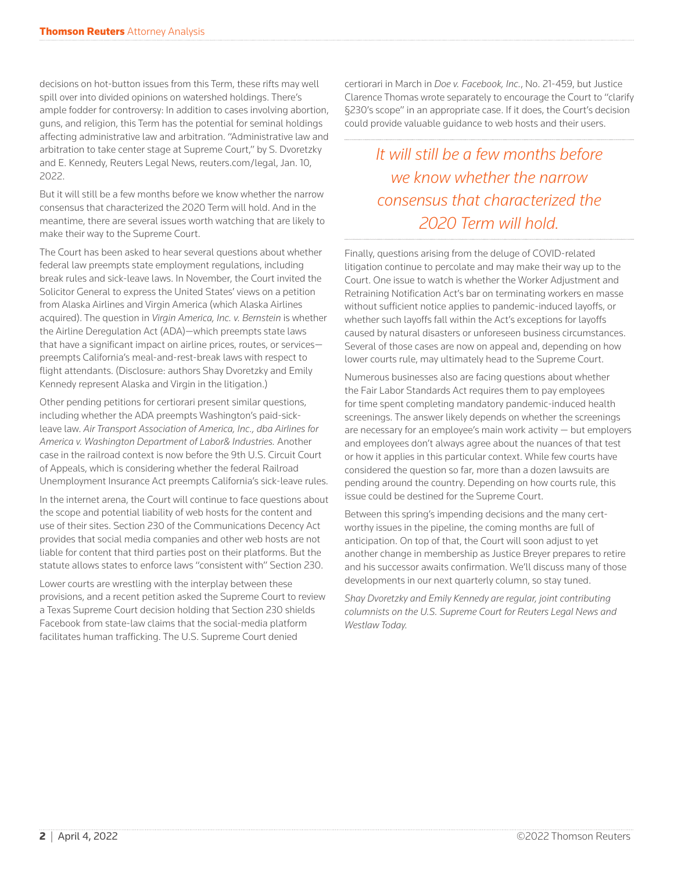decisions on hot-button issues from this Term, these rifts may well spill over into divided opinions on watershed holdings. There's ample fodder for controversy: In addition to cases involving abortion, guns, and religion, this Term has the potential for seminal holdings affecting administrative law and arbitration. "Administrative law and arbitration to take center stage at Supreme Court," by S. Dvoretzky and E. Kennedy, Reuters Legal News, reuters.com/legal, Jan. 10, 2022.

But it will still be a few months before we know whether the narrow consensus that characterized the 2020 Term will hold. And in the meantime, there are several issues worth watching that are likely to make their way to the Supreme Court.

The Court has been asked to hear several questions about whether federal law preempts state employment regulations, including break rules and sick-leave laws. In November, the Court invited the Solicitor General to express the United States' views on a petition from Alaska Airlines and Virgin America (which Alaska Airlines acquired). The question in *Virgin America, Inc. v. Bernstein* is whether the Airline Deregulation Act (ADA)—which preempts state laws that have a significant impact on airline prices, routes, or services preempts California's meal-and-rest-break laws with respect to flight attendants. (Disclosure: authors Shay Dvoretzky and Emily Kennedy represent Alaska and Virgin in the litigation.)

Other pending petitions for certiorari present similar questions, including whether the ADA preempts Washington's paid-sickleave law. *Air Transport Association of America, Inc., dba Airlines for America v. Washington Department of Labor& Industries.* Another case in the railroad context is now before the 9th U.S. Circuit Court of Appeals, which is considering whether the federal Railroad Unemployment Insurance Act preempts California's sick-leave rules.

In the internet arena, the Court will continue to face questions about the scope and potential liability of web hosts for the content and use of their sites. Section 230 of the Communications Decency Act provides that social media companies and other web hosts are not liable for content that third parties post on their platforms. But the statute allows states to enforce laws "consistent with" Section 230.

Lower courts are wrestling with the interplay between these provisions, and a recent petition asked the Supreme Court to review a Texas Supreme Court decision holding that Section 230 shields Facebook from state-law claims that the social-media platform facilitates human trafficking. The U.S. Supreme Court denied

certiorari in March in *Doe v. Facebook, Inc.*, No. 21-459, but Justice Clarence Thomas wrote separately to encourage the Court to "clarify §230's scope" in an appropriate case. If it does, the Court's decision could provide valuable guidance to web hosts and their users.

## *It will still be a few months before we know whether the narrow consensus that characterized the 2020 Term will hold.*

Finally, questions arising from the deluge of COVID-related litigation continue to percolate and may make their way up to the Court. One issue to watch is whether the Worker Adjustment and Retraining Notification Act's bar on terminating workers en masse without sufficient notice applies to pandemic-induced layoffs, or whether such layoffs fall within the Act's exceptions for layoffs caused by natural disasters or unforeseen business circumstances. Several of those cases are now on appeal and, depending on how lower courts rule, may ultimately head to the Supreme Court.

Numerous businesses also are facing questions about whether the Fair Labor Standards Act requires them to pay employees for time spent completing mandatory pandemic-induced health screenings. The answer likely depends on whether the screenings are necessary for an employee's main work activity — but employers and employees don't always agree about the nuances of that test or how it applies in this particular context. While few courts have considered the question so far, more than a dozen lawsuits are pending around the country. Depending on how courts rule, this issue could be destined for the Supreme Court.

Between this spring's impending decisions and the many certworthy issues in the pipeline, the coming months are full of anticipation. On top of that, the Court will soon adjust to yet another change in membership as Justice Breyer prepares to retire and his successor awaits confirmation. We'll discuss many of those developments in our next quarterly column, so stay tuned.

*Shay Dvoretzky and Emily Kennedy are regular, joint contributing columnists on the U.S. Supreme Court for Reuters Legal News and Westlaw Today.*